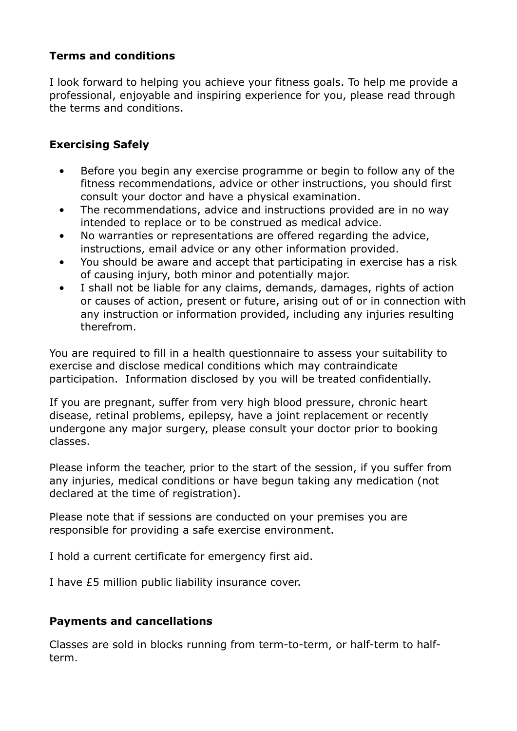## **Terms and conditions**

I look forward to helping you achieve your fitness goals. To help me provide a professional, enjoyable and inspiring experience for you, please read through the terms and conditions.

## **Exercising Safely**

- Before you begin any exercise programme or begin to follow any of the fitness recommendations, advice or other instructions, you should first consult your doctor and have a physical examination.
- The recommendations, advice and instructions provided are in no way intended to replace or to be construed as medical advice.
- No warranties or representations are offered regarding the advice, instructions, email advice or any other information provided.
- You should be aware and accept that participating in exercise has a risk of causing injury, both minor and potentially major.
- I shall not be liable for any claims, demands, damages, rights of action or causes of action, present or future, arising out of or in connection with any instruction or information provided, including any injuries resulting therefrom.

You are required to fill in a health questionnaire to assess your suitability to exercise and disclose medical conditions which may contraindicate participation. Information disclosed by you will be treated confidentially.

If you are pregnant, suffer from very high blood pressure, chronic heart disease, retinal problems, epilepsy, have a joint replacement or recently undergone any major surgery, please consult your doctor prior to booking classes.

Please inform the teacher, prior to the start of the session, if you suffer from any injuries, medical conditions or have begun taking any medication (not declared at the time of registration).

Please note that if sessions are conducted on your premises you are responsible for providing a safe exercise environment.

I hold a current certificate for emergency first aid.

I have £5 million public liability insurance cover.

## **Payments and cancellations**

Classes are sold in blocks running from term-to-term, or half-term to halfterm.